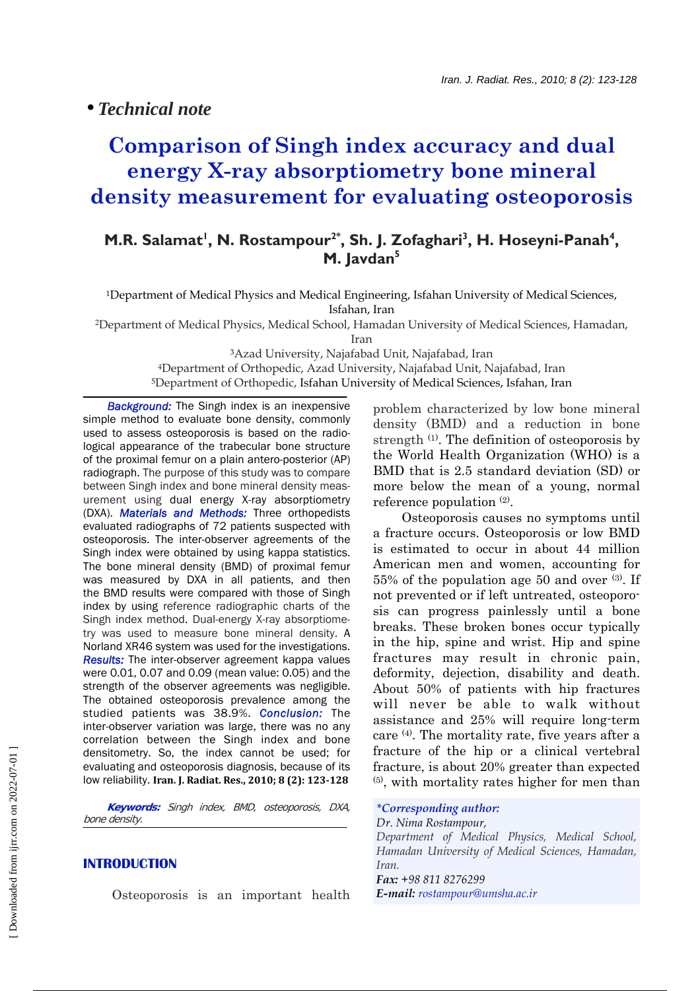# **Comparison of Singh index accuracy and dual energy X-ray absorptiometry bone mineral density measurement for evaluating osteoporosis**

## **M.R. Salamat<sup>1</sup>, N. Rostampour<sup>2\*</sup>, Sh. J. Zofaghari<sup>3</sup>, H. Hoseyni-Panah<sup>4</sup>, M. Javdan5**

1Department of Medical Physics and Medical Engineering, Isfahan University of Medical Sciences, Isfahan, Iran

2Department of Medical Physics, Medical School, Hamadan University of Medical Sciences, Hamadan,

Iran

3Azad University, Najafabad Unit, Najafabad, Iran 4Department of Orthopedic, Azad University, Najafabad Unit, Najafabad, Iran 5Department of Orthopedic, Isfahan University of Medical Sciences, Isfahan, Iran

**Background:** The Singh index is an inexpensive simple method to evaluate bone density, commonly used to assess osteoporosis is based on the radiological appearance of the trabecular bone structure of the proximal femur on a plain antero-posterior (AP) radiograph. The purpose of this study was to compare between Singh index and bone mineral density measurement using dual energy X-ray absorptiometry (DXA). *Materials and Methods:* Three orthopedists evaluated radiographs of 72 patients suspected with osteoporosis. The inter-observer agreements of the Singh index were obtained by using kappa statistics. The bone mineral density (BMD) of proximal femur was measured by DXA in all patients, and then the BMD results were compared with those of Singh index by using reference radiographic charts of the Singh index method. Dual-energy X-ray absorptiometry was used to measure bone mineral density. A Norland XR46 system was used for the investigations. *Results:* The inter-observer agreement kappa values were 0.01, 0.07 and 0.09 (mean value: 0.05) and the strength of the observer agreements was negligible. The obtained osteoporosis prevalence among the studied patients was 38.9%. *Conclusion:* The inter-observer variation was large, there was no any correlation between the Singh index and bone densitometry. So, the index cannot be used; for evaluating and osteoporosis diagnosis, because of its low reliability. **Iran. J. Radiat. Res., 2010; 8 (2): 123128**

 **Keywords:** Singh index, BMD, osteoporosis, DXA, bone density.

### **INTRODUCTION**

Osteoporosis is an important health

problem characterized by low bone mineral density (BMD) and a reduction in bone strength (1). The definition of osteoporosis by the World Health Organization (WHO) is a BMD that is 2.5 standard deviation (SD) or more below the mean of a young, normal reference population  $(2)$ .

 Osteoporosis causes no symptoms until a fracture occurs. Osteoporosis or low BMD is estimated to occur in about 44 million American men and women, accounting for  $55\%$  of the population age 50 and over  $(3)$ . If not prevented or if left untreated, osteoporosis can progress painlessly until a bone breaks. These broken bones occur typically in the hip, spine and wrist. Hip and spine fractures may result in chronic pain, deformity, dejection, disability and death. About 50% of patients with hip fractures will never be able to walk without assistance and 25% will require long-term care (4). The mortality rate, five years after a fracture of the hip or a clinical vertebral fracture, is about 20% greater than expected (5), with mortality rates higher for men than

*\*Corresponding author: Dr. Nima Rostampour, Department of Medical Physics, Medical School, Hamadan University of Medical Sciences, Hamadan, Iran. Fax: +98 811 8276299 E-mail: rostampour@umsha.ac.ir*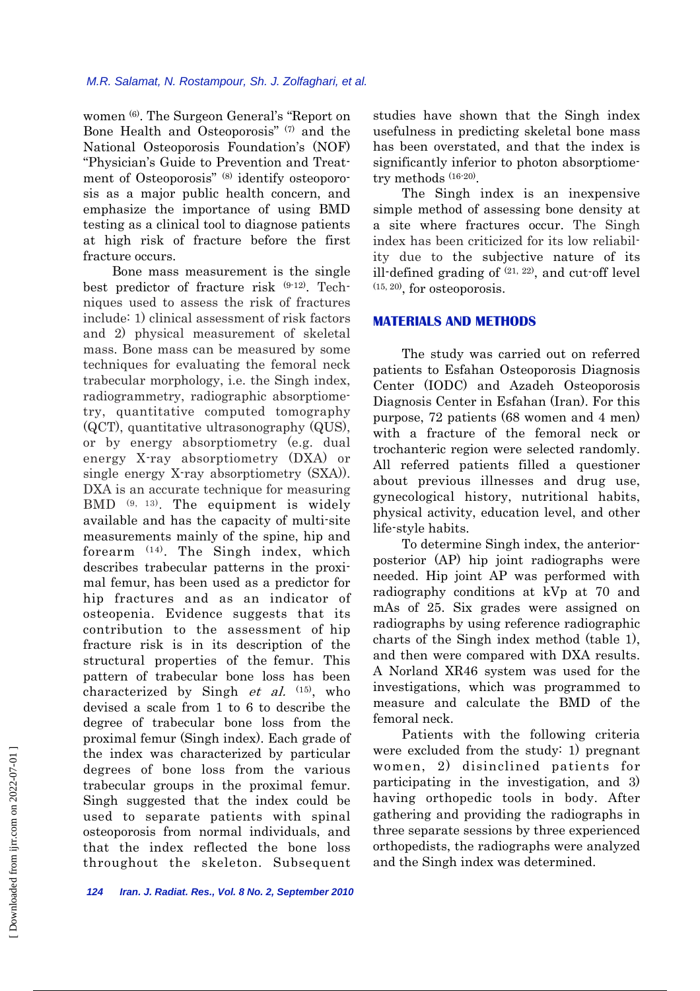women (6). The Surgeon General's "Report on Bone Health and Osteoporosis" (7) and the National Osteoporosis Foundation's (NOF) "Physician's Guide to Prevention and Treatment of Osteoporosis" (8) identify osteoporosis as a major public health concern, and emphasize the importance of using BMD testing as a clinical tool to diagnose patients at high risk of fracture before the first fracture occurs.

 Bone mass measurement is the single best predictor of fracture risk (9-12). Techniques used to assess the risk of fractures include: 1) clinical assessment of risk factors and 2) physical measurement of skeletal mass. Bone mass can be measured by some techniques for evaluating the femoral neck trabecular morphology, i.e. the Singh index, radiogrammetry, radiographic absorptiometry, quantitative computed tomography (QCT), quantitative ultrasonography (QUS), or by energy absorptiometry (e.g. dual energy X-ray absorptiometry (DXA) or single energy X-ray absorptiometry (SXA)). DXA is an accurate technique for measuring BMD (9, 13). The equipment is widely available and has the capacity of multi-site measurements mainly of the spine, hip and forearm (14). The Singh index, which describes trabecular patterns in the proximal femur, has been used as a predictor for hip fractures and as an indicator of osteopenia. Evidence suggests that its contribution to the assessment of hip fracture risk is in its description of the structural properties of the femur. This pattern of trabecular bone loss has been characterized by Singh *et al.*  $(15)$ , who devised a scale from 1 to 6 to describe the degree of trabecular bone loss from the proximal femur (Singh index). Each grade of the index was characterized by particular degrees of bone loss from the various trabecular groups in the proximal femur. Singh suggested that the index could be used to separate patients with spinal osteoporosis from normal individuals, and that the index reflected the bone loss throughout the skeleton. Subsequent studies have shown that the Singh index usefulness in predicting skeletal bone mass has been overstated, and that the index is significantly inferior to photon absorptiometry methods (16-20).

 The Singh index is an inexpensive simple method of assessing bone density at a site where fractures occur. The Singh index has been criticized for its low reliability due to the subjective nature of its ill-defined grading of  $(21, 22)$ , and cut-off level  $(15, 20)$ , for osteoporosis.

#### **MATERIALS AND METHODS**

 The study was carried out on referred patients to Esfahan Osteoporosis Diagnosis Center (IODC) and Azadeh Osteoporosis Diagnosis Center in Esfahan (Iran). For this purpose, 72 patients (68 women and 4 men) with a fracture of the femoral neck or trochanteric region were selected randomly. All referred patients filled a questioner about previous illnesses and drug use, gynecological history, nutritional habits, physical activity, education level, and other life-style habits.

 To determine Singh index, the anteriorposterior (AP) hip joint radiographs were needed. Hip joint AP was performed with radiography conditions at kVp at 70 and mAs of 25. Six grades were assigned on radiographs by using reference radiographic charts of the Singh index method (table 1), and then were compared with DXA results. A Norland XR46 system was used for the investigations, which was programmed to measure and calculate the BMD of the femoral neck.

 Patients with the following criteria were excluded from the study: 1) pregnant women, 2) disinclined patients for participating in the investigation, and 3) having orthopedic tools in body. After gathering and providing the radiographs in three separate sessions by three experienced orthopedists, the radiographs were analyzed and the Singh index was determined.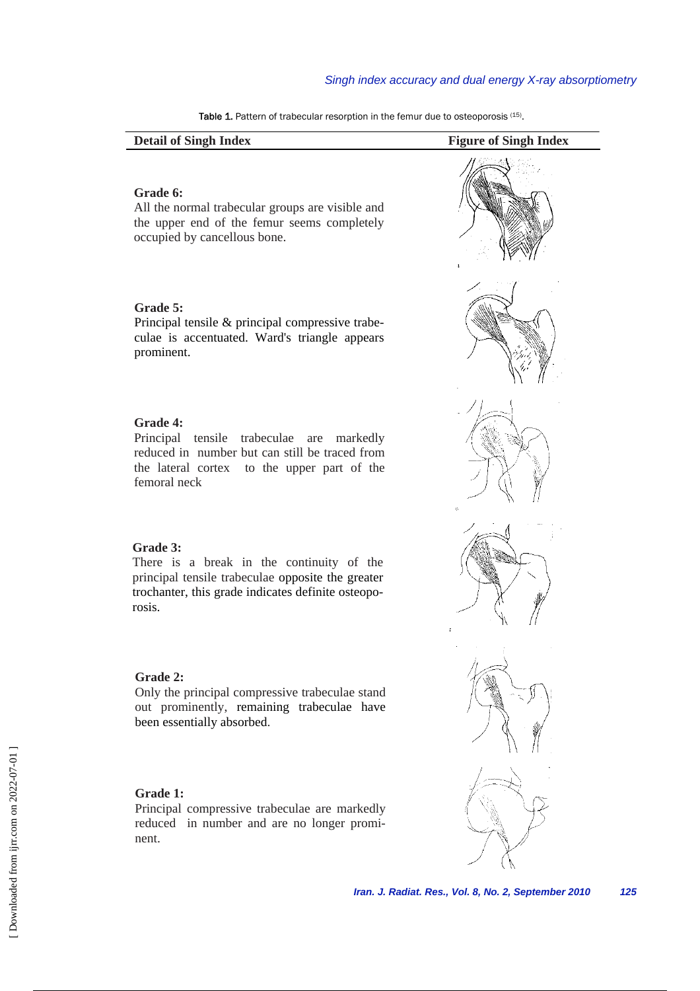| <b>Detail of Singh Index</b>                                                                                                                                                       | <b>Figure of Singh Index</b> |
|------------------------------------------------------------------------------------------------------------------------------------------------------------------------------------|------------------------------|
| Grade 6:<br>All the normal trabecular groups are visible and<br>the upper end of the femur seems completely<br>occupied by cancellous bone.                                        |                              |
| Grade 5:<br>Principal tensile & principal compressive trabe-<br>culae is accentuated. Ward's triangle appears<br>prominent.                                                        |                              |
| Grade 4:<br>Principal<br>tensile<br>trabeculae<br>markedly<br>are<br>reduced in number but can still be traced from<br>the lateral cortex to the upper part of the<br>femoral neck | ß                            |
| Grade 3:<br>There is a break in the continuity of the<br>principal tensile trabeculae opposite the greater<br>trochanter, this grade indicates definite osteopo-<br>rosis.         |                              |
| Grade 2:<br>Only the principal compressive trabeculae stand<br>out prominently, remaining trabeculae have<br>been essentially absorbed.                                            |                              |
| Grade 1:<br>Principal compressive trabeculae are markedly<br>reduced in number and are no longer promi-<br>nent.                                                                   |                              |

Table 1. Pattern of trabecular resorption in the femur due to osteoporosis (15).

 $\overline{\phantom{0}}$ 

*Iran. J. Radiat. Res., Vol. 8, No. 2, September 2010 125*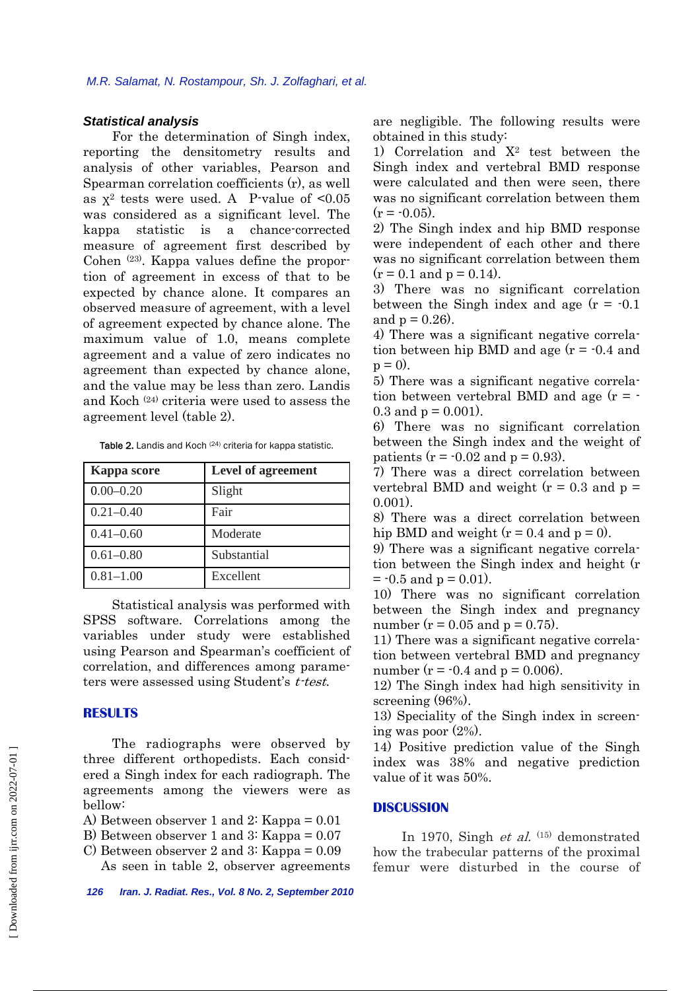#### *Statistical analysis*

 For the determination of Singh index, reporting the densitometry results and analysis of other variables, Pearson and Spearman correlation coefficients (r), as well as  $X^2$  tests were used. A P-value of <0.05 was considered as a significant level. The kappa statistic is a chance-corrected measure of agreement first described by Cohen (23). Kappa values define the proportion of agreement in excess of that to be expected by chance alone. It compares an observed measure of agreement, with a level of agreement expected by chance alone. The maximum value of 1.0, means complete agreement and a value of zero indicates no agreement than expected by chance alone, and the value may be less than zero. Landis and Koch (24) criteria were used to assess the agreement level (table 2).

Table 2. Landis and Koch (24) criteria for kappa statistic.

| <b>Kappa</b> score | <b>Level of agreement</b> |
|--------------------|---------------------------|
| $0.00 - 0.20$      | Slight                    |
| $0.21 - 0.40$      | Fair                      |
| $0.41 - 0.60$      | Moderate                  |
| $0.61 - 0.80$      | Substantial               |
| $0.81 - 1.00$      | Excellent                 |

 Statistical analysis was performed with SPSS software. Correlations among the variables under study were established using Pearson and Spearman's coefficient of correlation, and differences among parameters were assessed using Student's t-test.

#### **RESULTS**

 The radiographs were observed by three different orthopedists. Each considered a Singh index for each radiograph. The agreements among the viewers were as bellow:

A) Between observer 1 and 2: Kappa = 0.01

B) Between observer 1 and 3: Kappa = 0.07

C) Between observer 2 and 3: Kappa = 0.09 As seen in table 2, observer agreements

*126 Iran. J. Radiat. Res., Vol. 8 No. 2, September 2010* 

are negligible. The following results were obtained in this study:

1) Correlation and  $X^2$  test between the Singh index and vertebral BMD response were calculated and then were seen, there was no significant correlation between them  $(r = -0.05)$ .

2) The Singh index and hip BMD response were independent of each other and there was no significant correlation between them  $(r = 0.1$  and  $p = 0.14$ ).

3) There was no significant correlation between the Singh index and age  $(r = -0.1$ and  $p = 0.26$ ).

4) There was a significant negative correlation between hip BMD and age  $(r = -0.4$  and  $p = 0$ ).

5) There was a significant negative correlation between vertebral BMD and age  $(r = -$ 0.3 and  $p = 0.001$ ).

6) There was no significant correlation between the Singh index and the weight of patients ( $r = -0.02$  and  $p = 0.93$ ).

7) There was a direct correlation between vertebral BMD and weight  $(r = 0.3$  and  $p =$ 0.001).

8) There was a direct correlation between hip BMD and weight  $(r = 0.4$  and  $p = 0)$ .

9) There was a significant negative correlation between the Singh index and height (r  $= -0.5$  and  $p = 0.01$ ).

10) There was no significant correlation between the Singh index and pregnancy number ( $r = 0.05$  and  $p = 0.75$ ).

11) There was a significant negative correlation between vertebral BMD and pregnancy number ( $r = -0.4$  and  $p = 0.006$ ).

12) The Singh index had high sensitivity in screening (96%).

13) Speciality of the Singh index in screening was poor (2%).

14) Positive prediction value of the Singh index was 38% and negative prediction value of it was 50%.

#### **DISCUSSION**

In 1970, Singh *et al.*  $(15)$  demonstrated how the trabecular patterns of the proximal femur were disturbed in the course of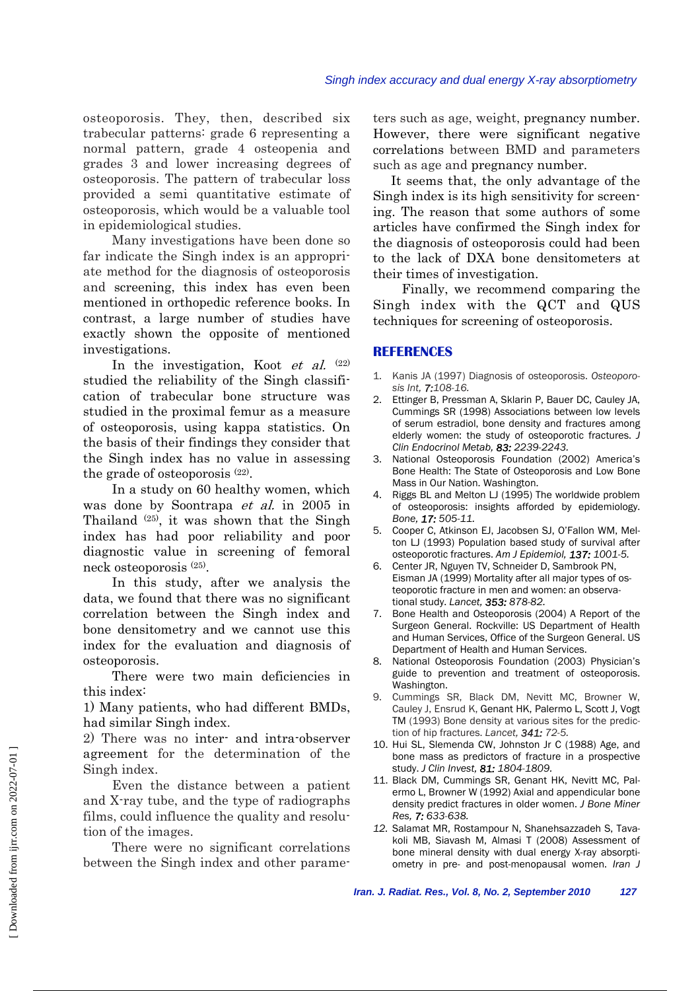osteoporosis. They, then, described six trabecular patterns: grade 6 representing a normal pattern, grade 4 osteopenia and grades 3 and lower increasing degrees of osteoporosis. The pattern of trabecular loss provided a semi quantitative estimate of osteoporosis, which would be a valuable tool in epidemiological studies.

 Many investigations have been done so far indicate the Singh index is an appropriate method for the diagnosis of osteoporosis and screening, this index has even been mentioned in orthopedic reference books. In contrast, a large number of studies have exactly shown the opposite of mentioned investigations.

In the investigation, Koot et al.  $(22)$ studied the reliability of the Singh classification of trabecular bone structure was studied in the proximal femur as a measure of osteoporosis, using kappa statistics. On the basis of their findings they consider that the Singh index has no value in assessing the grade of osteoporosis (22).

 In a study on 60 healthy women, which was done by Soontrapa *et al.* in 2005 in Thailand (25), it was shown that the Singh index has had poor reliability and poor diagnostic value in screening of femoral neck osteoporosis (25).

 In this study, after we analysis the data, we found that there was no significant correlation between the Singh index and bone densitometry and we cannot use this index for the evaluation and diagnosis of osteoporosis.

 There were two main deficiencies in this index:

1) Many patients, who had different BMDs, had similar Singh index.

2) There was no inter- and intra-observer agreement for the determination of the Singh index.

 Even the distance between a patient and X-ray tube, and the type of radiographs films, could influence the quality and resolution of the images.

 There were no significant correlations between the Singh index and other parameters such as age, weight, pregnancy number. However, there were significant negative correlations between BMD and parameters such as age and pregnancy number.

 It seems that, the only advantage of the Singh index is its high sensitivity for screening. The reason that some authors of some articles have confirmed the Singh index for the diagnosis of osteoporosis could had been to the lack of DXA bone densitometers at their times of investigation.

 Finally, we recommend comparing the Singh index with the QCT and QUS techniques for screening of osteoporosis.

#### **REFERENCES**

- 1. Kanis JA (1997) Diagnosis of osteoporosis. *Osteoporosis Int, 7:108-16.*
- 2. Ettinger B, Pressman A, Sklarin P, Bauer DC, Cauley JA, Cummings SR (1998) Associations between low levels of serum estradiol, bone density and fractures among elderly women: the study of osteoporotic fractures. *J Clin Endocrinol Metab, 83: 2239-2243.*
- 3. National Osteoporosis Foundation (2002) America's Bone Health: The State of Osteoporosis and Low Bone Mass in Our Nation. Washington.
- 4. Riggs BL and Melton LJ (1995) The worldwide problem of osteoporosis: insights afforded by epidemiology. *Bone, 17: 505-11.*
- 5. Cooper C, Atkinson EJ, Jacobsen SJ, O'Fallon WM, Melton LJ (1993) Population based study of survival after osteoporotic fractures. *Am J Epidemiol, 137: 1001-5.*
- 6. Center JR, Nguyen TV, Schneider D, Sambrook PN, Eisman JA (1999) Mortality after all major types of osteoporotic fracture in men and women: an observational study. *Lancet, 353: 878-82.*
- 7. Bone Health and Osteoporosis (2004) A Report of the Surgeon General. Rockville: US Department of Health and Human Services, Office of the Surgeon General. US Department of Health and Human Services.
- 8. National Osteoporosis Foundation (2003) Physician's guide to prevention and treatment of osteoporosis. Washington.
- 9. Cummings SR, Black DM, Nevitt MC, Browner W, Cauley J, Ensrud K, Genant HK, Palermo L, Scott J, Vogt TM (1993) Bone density at various sites for the prediction of hip fractures. *Lancet, 341: 72-5.*
- 10. Hui SL, Slemenda CW, Johnston Jr C (1988) Age, and bone mass as predictors of fracture in a prospective study. *J Clin Invest, 81: 1804-1809.*
- 11. Black DM, Cummings SR, Genant HK, Nevitt MC, Palermo L, Browner W (1992) Axial and appendicular bone density predict fractures in older women. *J Bone Miner Res, 7: 633-638.*
- *12.* Salamat MR, Rostampour N, Shanehsazzadeh S, Tavakoli MB, Siavash M, Almasi T (2008) Assessment of bone mineral density with dual energy X-ray absorptiometry in pre- and post-menopausal women. *Iran J*